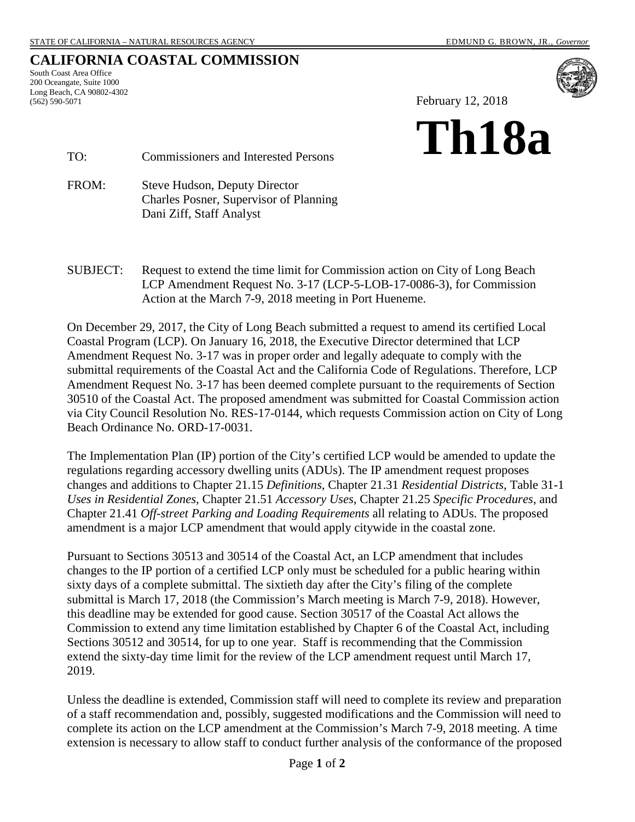# **CALIFORNIA COASTAL COMMISSION**

South Coast Area Office 200 Oceangate, Suite 1000 Long Beach, CA 90802-4302 (562) 590-5071



February 12, 2018



TO: Commissioners and Interested Persons

FROM: Steve Hudson, Deputy Director Charles Posner, Supervisor of Planning Dani Ziff, Staff Analyst

SUBJECT: Request to extend the time limit for Commission action on City of Long Beach LCP Amendment Request No. 3-17 (LCP-5-LOB-17-0086-3), for Commission Action at the March 7-9, 2018 meeting in Port Hueneme.

On December 29, 2017, the City of Long Beach submitted a request to amend its certified Local Coastal Program (LCP). On January 16, 2018, the Executive Director determined that LCP Amendment Request No. 3-17 was in proper order and legally adequate to comply with the submittal requirements of the Coastal Act and the California Code of Regulations. Therefore, LCP Amendment Request No. 3-17 has been deemed complete pursuant to the requirements of Section 30510 of the Coastal Act. The proposed amendment was submitted for Coastal Commission action via City Council Resolution No. RES-17-0144, which requests Commission action on City of Long Beach Ordinance No. ORD-17-0031.

The Implementation Plan (IP) portion of the City's certified LCP would be amended to update the regulations regarding accessory dwelling units (ADUs). The IP amendment request proposes changes and additions to Chapter 21.15 *Definitions*, Chapter 21.31 *Residential Districts*, Table 31-1 *Uses in Residential Zones*, Chapter 21.51 *Accessory Uses*, Chapter 21.25 *Specific Procedures*, and Chapter 21.41 *Off-street Parking and Loading Requirements* all relating to ADUs. The proposed amendment is a major LCP amendment that would apply citywide in the coastal zone.

Pursuant to Sections 30513 and 30514 of the Coastal Act, an LCP amendment that includes changes to the IP portion of a certified LCP only must be scheduled for a public hearing within sixty days of a complete submittal. The sixtieth day after the City's filing of the complete submittal is March 17, 2018 (the Commission's March meeting is March 7-9, 2018). However, this deadline may be extended for good cause. Section 30517 of the Coastal Act allows the Commission to extend any time limitation established by Chapter 6 of the Coastal Act, including Sections 30512 and 30514, for up to one year. Staff is recommending that the Commission extend the sixty-day time limit for the review of the LCP amendment request until March 17, 2019.

Unless the deadline is extended, Commission staff will need to complete its review and preparation of a staff recommendation and, possibly, suggested modifications and the Commission will need to complete its action on the LCP amendment at the Commission's March 7-9, 2018 meeting. A time extension is necessary to allow staff to conduct further analysis of the conformance of the proposed